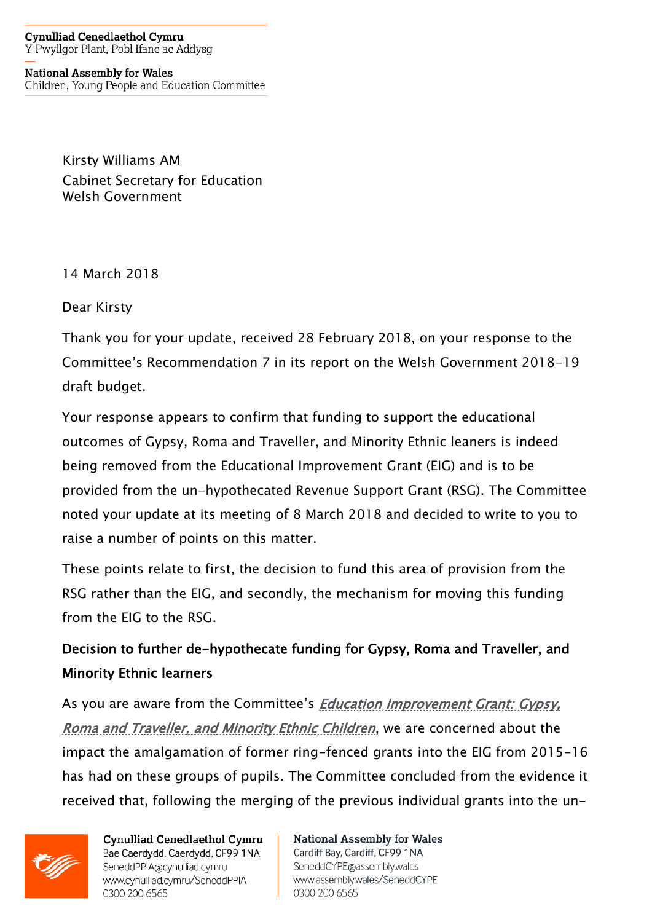**Cynulliad Cenedlaethol Cymru** Y Pwyllgor Plant, Pobl Ifanc ac Addysg

**National Assembly for Wales** Children, Young People and Education Committee

> Kirsty Williams AM Cabinet Secretary for Education Welsh Government

14 March 2018

Dear Kirsty

Thank you for your update, received 28 February 2018, on your response to the Committee's Recommendation 7 in its report on the Welsh Government 2018-19 draft budget.

Your response appears to confirm that funding to support the educational outcomes of Gypsy, Roma and Traveller, and Minority Ethnic leaners is indeed being removed from the Educational Improvement Grant (EIG) and is to be provided from the un-hypothecated Revenue Support Grant (RSG). The Committee noted your update at its meeting of 8 March 2018 and decided to write to you to raise a number of points on this matter.

These points relate to first, the decision to fund this area of provision from the RSG rather than the EIG, and secondly, the mechanism for moving this funding from the EIG to the RSG.

## Decision to further de-hypothecate funding for Gypsy, Roma and Traveller, and Minority Ethnic learners

As you are aware from the Committee's *Education Improvement Grant: Gypsy*, [Roma and Traveller, and Minority Ethnic Children](http://senedd.assembly.wales/mgIssueHistoryHome.aspx?IId=16200), we are concerned about the impact the amalgamation of former ring-fenced grants into the EIG from 2015-16 has had on these groups of pupils. The Committee concluded from the evidence it received that, following the merging of the previous individual grants into the un-



Cynulliad Cenedlaethol Cymru Bae Caerdydd, Caerdydd, CF99 1NA SeneddPPIA@cynulliad.cymru www.cynulliad.cymru/SeneddPPIA 0300 200 6565

**National Assembly for Wales** Cardiff Bay, Cardiff, CF99 1NA SeneddCYPE@assembly.wales www.assembly.wales/SeneddCYPE 0300 200 6565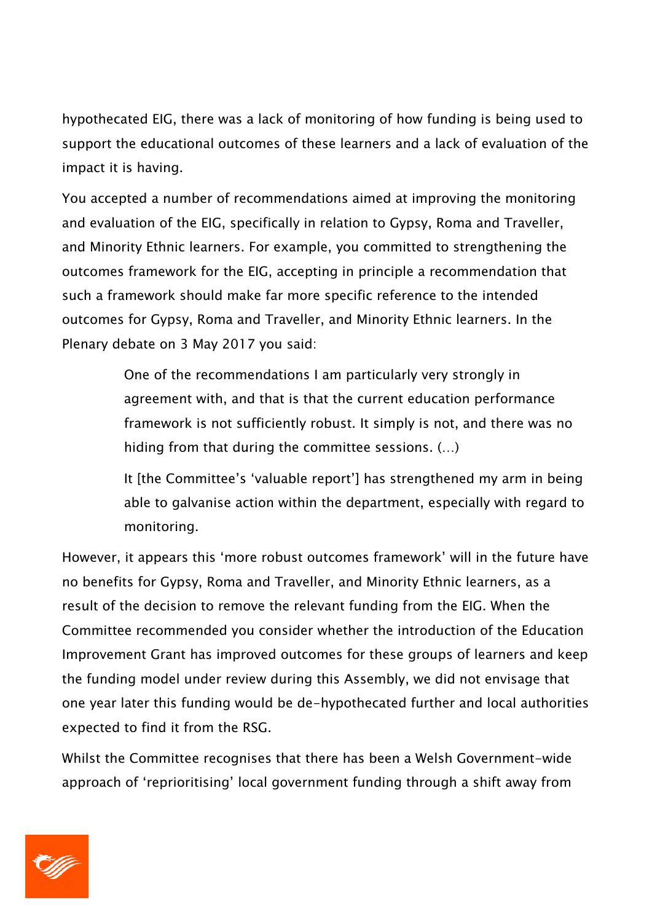hypothecated EIG, there was a lack of monitoring of how funding is being used to support the educational outcomes of these learners and a lack of evaluation of the impact it is having.

You accepted a number of recommendations aimed at improving the monitoring and evaluation of the EIG, specifically in relation to Gypsy, Roma and Traveller, and Minority Ethnic learners. For example, you committed to strengthening the outcomes framework for the EIG, accepting in principle a recommendation that such a framework should make far more specific reference to the intended outcomes for Gypsy, Roma and Traveller, and Minority Ethnic learners. In the Plenary debate on 3 May 2017 you said:

> One of the recommendations I am particularly very strongly in agreement with, and that is that the current education performance framework is not sufficiently robust. It simply is not, and there was no hiding from that during the committee sessions. (…)

It [the Committee's 'valuable report'] has strengthened my arm in being able to galvanise action within the department, especially with regard to monitoring.

However, it appears this 'more robust outcomes framework' will in the future have no benefits for Gypsy, Roma and Traveller, and Minority Ethnic learners, as a result of the decision to remove the relevant funding from the EIG. When the Committee recommended you consider whether the introduction of the Education Improvement Grant has improved outcomes for these groups of learners and keep the funding model under review during this Assembly, we did not envisage that one year later this funding would be de-hypothecated further and local authorities expected to find it from the RSG.

Whilst the Committee recognises that there has been a Welsh Government-wide approach of 'reprioritising' local government funding through a shift away from

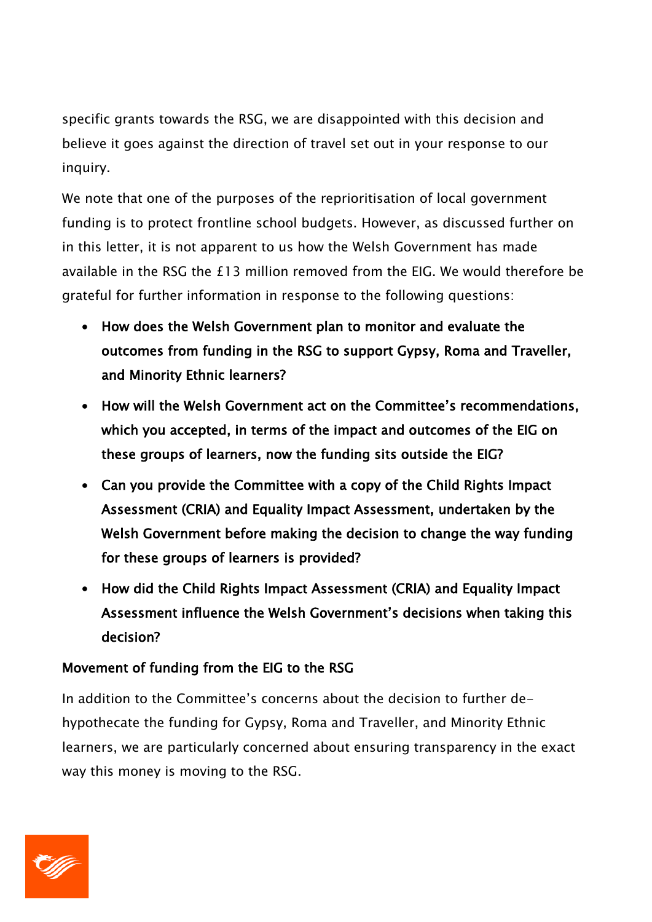specific grants towards the RSG, we are disappointed with this decision and believe it goes against the direction of travel set out in your response to our inquiry.

We note that one of the purposes of the reprioritisation of local government funding is to protect frontline school budgets. However, as discussed further on in this letter, it is not apparent to us how the Welsh Government has made available in the RSG the £13 million removed from the EIG. We would therefore be grateful for further information in response to the following questions:

- How does the Welsh Government plan to monitor and evaluate the outcomes from funding in the RSG to support Gypsy, Roma and Traveller, and Minority Ethnic learners?
- How will the Welsh Government act on the Committee's recommendations, which you accepted, in terms of the impact and outcomes of the EIG on these groups of learners, now the funding sits outside the EIG?
- Can you provide the Committee with a copy of the Child Rights Impact Assessment (CRIA) and Equality Impact Assessment, undertaken by the Welsh Government before making the decision to change the way funding for these groups of learners is provided?
- How did the Child Rights Impact Assessment (CRIA) and Equality Impact Assessment influence the Welsh Government's decisions when taking this decision?

## Movement of funding from the EIG to the RSG

In addition to the Committee's concerns about the decision to further dehypothecate the funding for Gypsy, Roma and Traveller, and Minority Ethnic learners, we are particularly concerned about ensuring transparency in the exact way this money is moving to the RSG.

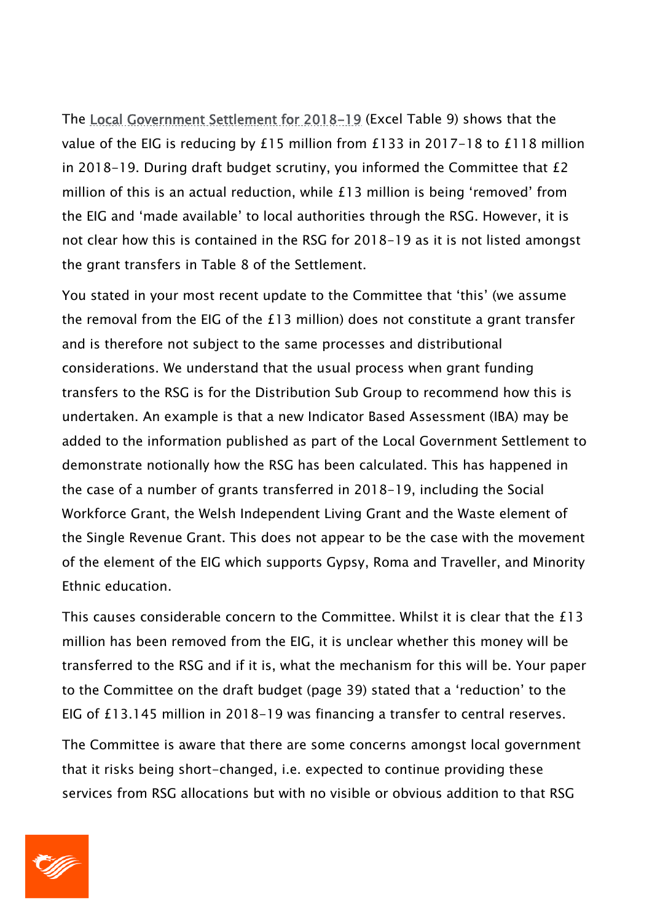The [Local Government Settlement for 2018-19](http://gov.wales/topics/localgovernment/finandfunding/settlement/lg-settlement-2018-19/final-local-gov-settlement-2018-19/?lang=en) (Excel Table 9) shows that the value of the EIG is reducing by £15 million from £133 in 2017-18 to £118 million in 2018-19. During draft budget scrutiny, you informed the Committee that £2 million of this is an actual reduction, while £13 million is being 'removed' from the EIG and 'made available' to local authorities through the RSG. However, it is not clear how this is contained in the RSG for 2018-19 as it is not listed amongst the grant transfers in Table 8 of the Settlement.

You stated in your most recent update to the Committee that 'this' (we assume the removal from the EIG of the £13 million) does not constitute a grant transfer and is therefore not subject to the same processes and distributional considerations. We understand that the usual process when grant funding transfers to the RSG is for the Distribution Sub Group to recommend how this is undertaken. An example is that a new Indicator Based Assessment (IBA) may be added to the information published as part of the Local Government Settlement to demonstrate notionally how the RSG has been calculated. This has happened in the case of a number of grants transferred in 2018-19, including the Social Workforce Grant, the Welsh Independent Living Grant and the Waste element of the Single Revenue Grant. This does not appear to be the case with the movement of the element of the EIG which supports Gypsy, Roma and Traveller, and Minority Ethnic education.

This causes considerable concern to the Committee. Whilst it is clear that the £13 million has been removed from the EIG, it is unclear whether this money will be transferred to the RSG and if it is, what the mechanism for this will be. Your paper to the Committee on the draft budget (page 39) stated that a 'reduction' to the EIG of £13.145 million in 2018-19 was financing a transfer to central reserves.

The Committee is aware that there are some concerns amongst local government that it risks being short-changed, i.e. expected to continue providing these services from RSG allocations but with no visible or obvious addition to that RSG

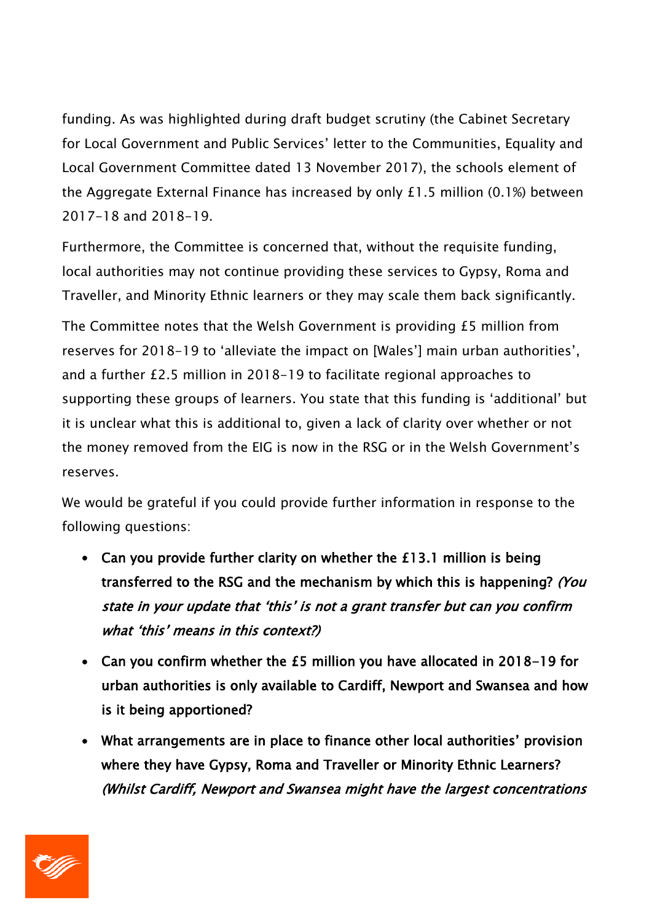funding. As was highlighted during draft budget scrutiny (the Cabinet Secretary for Local Government and Public Services' letter to the Communities, Equality and Local Government Committee dated 13 November 2017), the schools element of the Aggregate External Finance has increased by only £1.5 million (0.1%) between 2017-18 and 2018-19.

Furthermore, the Committee is concerned that, without the requisite funding, local authorities may not continue providing these services to Gypsy, Roma and Traveller, and Minority Ethnic learners or they may scale them back significantly.

The Committee notes that the Welsh Government is providing £5 million from reserves for 2018-19 to 'alleviate the impact on [Wales'] main urban authorities', and a further £2.5 million in 2018-19 to facilitate regional approaches to supporting these groups of learners. You state that this funding is 'additional' but it is unclear what this is additional to, given a lack of clarity over whether or not the money removed from the EIG is now in the RSG or in the Welsh Government's reserves.

We would be grateful if you could provide further information in response to the following questions:

- Can you provide further clarity on whether the £13.1 million is being transferred to the RSG and the mechanism by which this is happening? (You state in your update that 'this' is not a grant transfer but can you confirm what 'this' means in this context?)
- Can you confirm whether the £5 million you have allocated in 2018-19 for urban authorities is only available to Cardiff, Newport and Swansea and how is it being apportioned?
- What arrangements are in place to finance other local authorities' provision where they have Gypsy, Roma and Traveller or Minority Ethnic Learners? (Whilst Cardiff, Newport and Swansea might have the largest concentrations